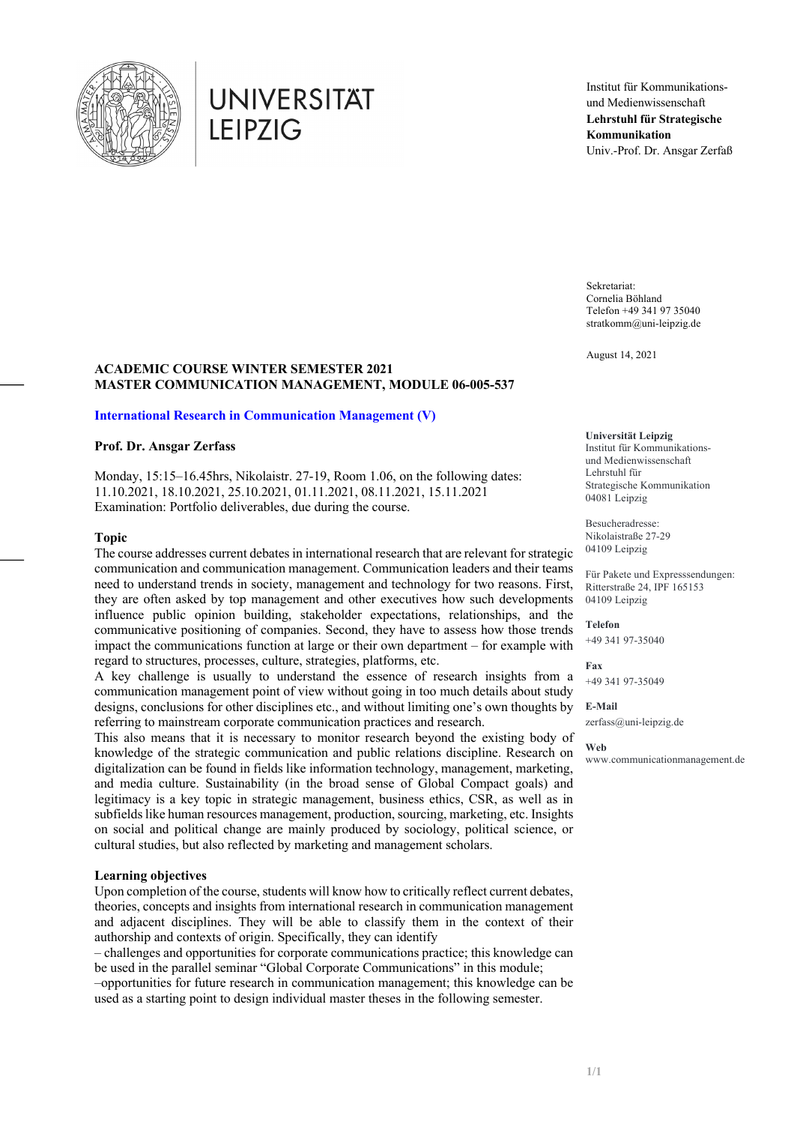

# **UNIVERSITAT LEIPZIG**

Institut für Kommunikationsund Medienwissenschaft **Lehrstuhl für Strategische Kommunikation** Univ.-Prof. Dr. Ansgar Zerfaß

Sekretariat: Cornelia Böhland Telefon +49 341 97 35040 stratkomm@uni-leipzig.de

August 14, 2021

## **ACADEMIC COURSE WINTER SEMESTER 2021 MASTER COMMUNICATION MANAGEMENT, MODULE 06-005-537**

#### **International Research in Communication Management (V)**

## **Prof. Dr. Ansgar Zerfass**

Monday, 15:15–16.45hrs, Nikolaistr. 27-19, Room 1.06, on the following dates: 11.10.2021, 18.10.2021, 25.10.2021, 01.11.2021, 08.11.2021, 15.11.2021 Examination: Portfolio deliverables, due during the course.

#### **Topic**

The course addresses current debates in international research that are relevant for strategic communication and communication management. Communication leaders and their teams need to understand trends in society, management and technology for two reasons. First, they are often asked by top management and other executives how such developments influence public opinion building, stakeholder expectations, relationships, and the communicative positioning of companies. Second, they have to assess how those trends impact the communications function at large or their own department – for example with regard to structures, processes, culture, strategies, platforms, etc.

A key challenge is usually to understand the essence of research insights from a communication management point of view without going in too much details about study designs, conclusions for other disciplines etc., and without limiting one's own thoughts by referring to mainstream corporate communication practices and research.

This also means that it is necessary to monitor research beyond the existing body of knowledge of the strategic communication and public relations discipline. Research on digitalization can be found in fields like information technology, management, marketing, and media culture. Sustainability (in the broad sense of Global Compact goals) and legitimacy is a key topic in strategic management, business ethics, CSR, as well as in subfields like human resources management, production, sourcing, marketing, etc. Insights on social and political change are mainly produced by sociology, political science, or cultural studies, but also reflected by marketing and management scholars.

#### **Learning objectives**

Upon completion of the course, students will know how to critically reflect current debates, theories, concepts and insights from international research in communication management and adjacent disciplines. They will be able to classify them in the context of their authorship and contexts of origin. Specifically, they can identify

– challenges and opportunities for corporate communications practice; this knowledge can be used in the parallel seminar "Global Corporate Communications" in this module; –opportunities for future research in communication management; this knowledge can be

used as a starting point to design individual master theses in the following semester.

#### **Universität Leipzig**

Institut für Kommunikationsund Medienwissenschaft Lehrstuhl für Strategische Kommunikation 04081 Leipzig

Besucheradresse: Nikolaistraße 27-29 04109 Leipzig

Für Pakete und Expresssendungen: Ritterstraße 24, IPF 165153 04109 Leipzig

**Telefon** +49 341 97-35040

**Fax** +49 341 97-35049

**E-Mail** zerfass@uni-leipzig.de

**Web** www.communicationmanagement.de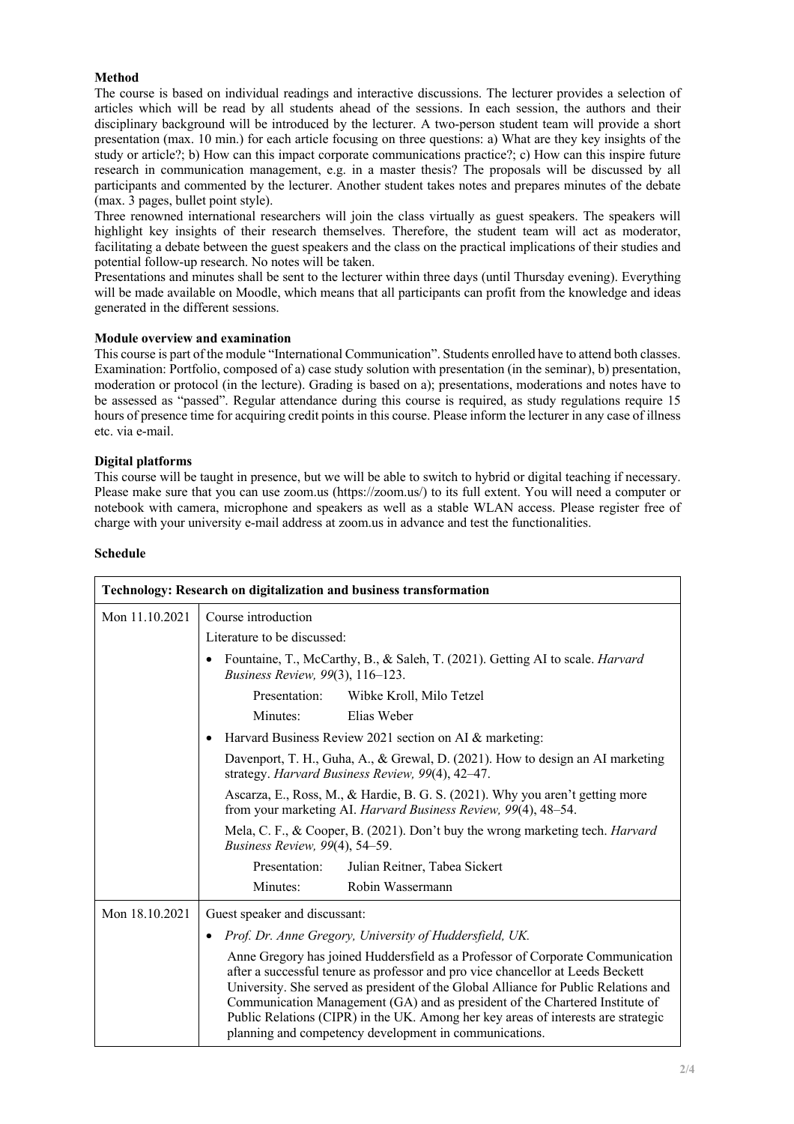# **Method**

The course is based on individual readings and interactive discussions. The lecturer provides a selection of articles which will be read by all students ahead of the sessions. In each session, the authors and their disciplinary background will be introduced by the lecturer. A two-person student team will provide a short presentation (max. 10 min.) for each article focusing on three questions: a) What are they key insights of the study or article?; b) How can this impact corporate communications practice?; c) How can this inspire future research in communication management, e.g. in a master thesis? The proposals will be discussed by all participants and commented by the lecturer. Another student takes notes and prepares minutes of the debate (max. 3 pages, bullet point style).

Three renowned international researchers will join the class virtually as guest speakers. The speakers will highlight key insights of their research themselves. Therefore, the student team will act as moderator, facilitating a debate between the guest speakers and the class on the practical implications of their studies and potential follow-up research. No notes will be taken.

Presentations and minutes shall be sent to the lecturer within three days (until Thursday evening). Everything will be made available on Moodle, which means that all participants can profit from the knowledge and ideas generated in the different sessions.

## **Module overview and examination**

This course is part of the module "International Communication". Students enrolled have to attend both classes. Examination: Portfolio, composed of a) case study solution with presentation (in the seminar), b) presentation, moderation or protocol (in the lecture). Grading is based on a); presentations, moderations and notes have to be assessed as "passed". Regular attendance during this course is required, as study regulations require 15 hours of presence time for acquiring credit points in this course. Please inform the lecturer in any case of illness etc. via e-mail.

#### **Digital platforms**

This course will be taught in presence, but we will be able to switch to hybrid or digital teaching if necessary. Please make sure that you can use zoom.us (https://zoom.us/) to its full extent. You will need a computer or notebook with camera, microphone and speakers as well as a stable WLAN access. Please register free of charge with your university e-mail address at zoom.us in advance and test the functionalities.

#### **Schedule**

| <b>Technology: Research on digitalization and business transformation</b> |                                                                                                                                                                                                                                                                                                                                                                                                                                                                                         |  |
|---------------------------------------------------------------------------|-----------------------------------------------------------------------------------------------------------------------------------------------------------------------------------------------------------------------------------------------------------------------------------------------------------------------------------------------------------------------------------------------------------------------------------------------------------------------------------------|--|
| Mon 11.10.2021                                                            | Course introduction                                                                                                                                                                                                                                                                                                                                                                                                                                                                     |  |
|                                                                           | Literature to be discussed:                                                                                                                                                                                                                                                                                                                                                                                                                                                             |  |
|                                                                           | Fountaine, T., McCarthy, B., & Saleh, T. (2021). Getting AI to scale. <i>Harvard</i><br>Business Review, 99(3), 116-123.                                                                                                                                                                                                                                                                                                                                                                |  |
|                                                                           | Presentation:<br>Wibke Kroll, Milo Tetzel                                                                                                                                                                                                                                                                                                                                                                                                                                               |  |
|                                                                           | Elias Weber<br>Minutes:                                                                                                                                                                                                                                                                                                                                                                                                                                                                 |  |
|                                                                           | Harvard Business Review 2021 section on AI & marketing:                                                                                                                                                                                                                                                                                                                                                                                                                                 |  |
|                                                                           | Davenport, T. H., Guha, A., & Grewal, D. (2021). How to design an AI marketing<br>strategy. Harvard Business Review, 99(4), 42-47.                                                                                                                                                                                                                                                                                                                                                      |  |
|                                                                           | Ascarza, E., Ross, M., & Hardie, B. G. S. (2021). Why you aren't getting more<br>from your marketing AI. Harvard Business Review, 99(4), 48–54.                                                                                                                                                                                                                                                                                                                                         |  |
|                                                                           | Mela, C. F., & Cooper, B. (2021). Don't buy the wrong marketing tech. Harvard<br>Business Review, 99(4), 54-59.                                                                                                                                                                                                                                                                                                                                                                         |  |
|                                                                           | Presentation:<br>Julian Reitner, Tabea Sickert                                                                                                                                                                                                                                                                                                                                                                                                                                          |  |
|                                                                           | Minutes:<br>Robin Wassermann                                                                                                                                                                                                                                                                                                                                                                                                                                                            |  |
| Mon 18.10.2021                                                            | Guest speaker and discussant:                                                                                                                                                                                                                                                                                                                                                                                                                                                           |  |
|                                                                           | Prof. Dr. Anne Gregory, University of Huddersfield, UK.                                                                                                                                                                                                                                                                                                                                                                                                                                 |  |
|                                                                           | Anne Gregory has joined Huddersfield as a Professor of Corporate Communication<br>after a successful tenure as professor and pro vice chancellor at Leeds Beckett<br>University. She served as president of the Global Alliance for Public Relations and<br>Communication Management (GA) and as president of the Chartered Institute of<br>Public Relations (CIPR) in the UK. Among her key areas of interests are strategic<br>planning and competency development in communications. |  |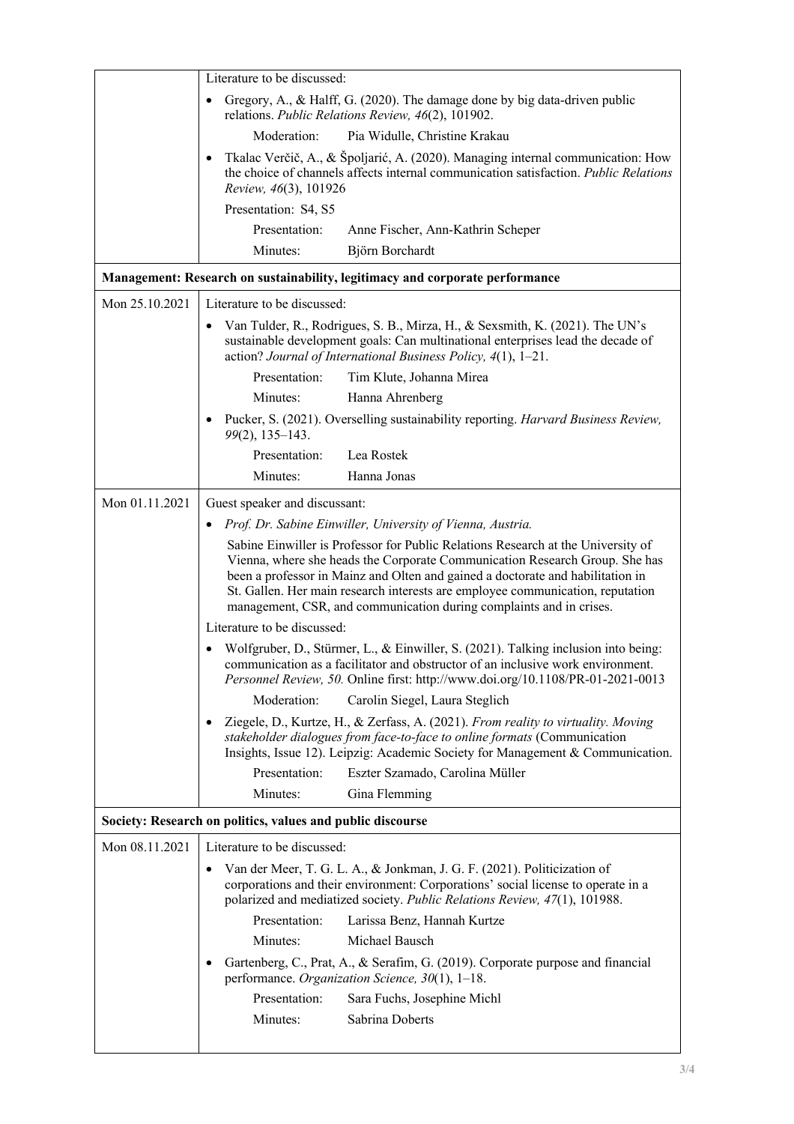|                                                                                     | Literature to be discussed:                                                                                                                                                                                                                                                                                                                                                                                |  |  |
|-------------------------------------------------------------------------------------|------------------------------------------------------------------------------------------------------------------------------------------------------------------------------------------------------------------------------------------------------------------------------------------------------------------------------------------------------------------------------------------------------------|--|--|
|                                                                                     | Gregory, A., & Halff, G. (2020). The damage done by big data-driven public<br>$\bullet$<br>relations. Public Relations Review, 46(2), 101902.                                                                                                                                                                                                                                                              |  |  |
|                                                                                     | Moderation:<br>Pia Widulle, Christine Krakau                                                                                                                                                                                                                                                                                                                                                               |  |  |
|                                                                                     | Tkalac Verčič, A., & Špoljarić, A. (2020). Managing internal communication: How<br>the choice of channels affects internal communication satisfaction. Public Relations<br>Review, 46(3), 101926                                                                                                                                                                                                           |  |  |
|                                                                                     | Presentation: S4, S5                                                                                                                                                                                                                                                                                                                                                                                       |  |  |
|                                                                                     | Presentation:<br>Anne Fischer, Ann-Kathrin Scheper                                                                                                                                                                                                                                                                                                                                                         |  |  |
|                                                                                     | Minutes:<br>Björn Borchardt                                                                                                                                                                                                                                                                                                                                                                                |  |  |
| <b>Management: Research on sustainability, legitimacy and corporate performance</b> |                                                                                                                                                                                                                                                                                                                                                                                                            |  |  |
| Mon 25.10.2021                                                                      | Literature to be discussed:                                                                                                                                                                                                                                                                                                                                                                                |  |  |
|                                                                                     | Van Tulder, R., Rodrigues, S. B., Mirza, H., & Sexsmith, K. (2021). The UN's<br>$\bullet$<br>sustainable development goals: Can multinational enterprises lead the decade of<br>action? Journal of International Business Policy, 4(1), 1-21.                                                                                                                                                              |  |  |
|                                                                                     | Presentation:<br>Tim Klute, Johanna Mirea                                                                                                                                                                                                                                                                                                                                                                  |  |  |
|                                                                                     | Minutes:<br>Hanna Ahrenberg                                                                                                                                                                                                                                                                                                                                                                                |  |  |
|                                                                                     | Pucker, S. (2021). Overselling sustainability reporting. Harvard Business Review,<br>99(2), 135-143.                                                                                                                                                                                                                                                                                                       |  |  |
|                                                                                     | Presentation:<br>Lea Rostek                                                                                                                                                                                                                                                                                                                                                                                |  |  |
|                                                                                     | Minutes:<br>Hanna Jonas                                                                                                                                                                                                                                                                                                                                                                                    |  |  |
| Mon 01.11.2021                                                                      | Guest speaker and discussant:                                                                                                                                                                                                                                                                                                                                                                              |  |  |
|                                                                                     | Prof. Dr. Sabine Einwiller, University of Vienna, Austria.                                                                                                                                                                                                                                                                                                                                                 |  |  |
|                                                                                     | Sabine Einwiller is Professor for Public Relations Research at the University of<br>Vienna, where she heads the Corporate Communication Research Group. She has<br>been a professor in Mainz and Olten and gained a doctorate and habilitation in<br>St. Gallen. Her main research interests are employee communication, reputation<br>management, CSR, and communication during complaints and in crises. |  |  |
|                                                                                     | Literature to be discussed:                                                                                                                                                                                                                                                                                                                                                                                |  |  |
|                                                                                     | Wolfgruber, D., Stürmer, L., & Einwiller, S. (2021). Talking inclusion into being:<br>communication as a facilitator and obstructor of an inclusive work environment.<br>Personnel Review, 50. Online first: http://www.doi.org/10.1108/PR-01-2021-0013                                                                                                                                                    |  |  |
|                                                                                     | Moderation:<br>Carolin Siegel, Laura Steglich                                                                                                                                                                                                                                                                                                                                                              |  |  |
|                                                                                     | Ziegele, D., Kurtze, H., & Zerfass, A. (2021). From reality to virtuality. Moving<br>٠<br>stakeholder dialogues from face-to-face to online formats (Communication<br>Insights, Issue 12). Leipzig: Academic Society for Management & Communication.                                                                                                                                                       |  |  |
|                                                                                     | Presentation:<br>Eszter Szamado, Carolina Müller                                                                                                                                                                                                                                                                                                                                                           |  |  |
|                                                                                     | Minutes:<br>Gina Flemming                                                                                                                                                                                                                                                                                                                                                                                  |  |  |
|                                                                                     | Society: Research on politics, values and public discourse                                                                                                                                                                                                                                                                                                                                                 |  |  |
| Mon 08.11.2021                                                                      | Literature to be discussed:                                                                                                                                                                                                                                                                                                                                                                                |  |  |
|                                                                                     | Van der Meer, T. G. L. A., & Jonkman, J. G. F. (2021). Politicization of<br>$\bullet$<br>corporations and their environment: Corporations' social license to operate in a<br>polarized and mediatized society. Public Relations Review, 47(1), 101988.                                                                                                                                                     |  |  |
|                                                                                     | Presentation:<br>Larissa Benz, Hannah Kurtze<br>Minutes:<br>Michael Bausch                                                                                                                                                                                                                                                                                                                                 |  |  |
|                                                                                     | Gartenberg, C., Prat, A., & Serafim, G. (2019). Corporate purpose and financial<br>$\bullet$                                                                                                                                                                                                                                                                                                               |  |  |
|                                                                                     | performance. Organization Science, 30(1), 1-18.                                                                                                                                                                                                                                                                                                                                                            |  |  |
|                                                                                     | Presentation:<br>Sara Fuchs, Josephine Michl                                                                                                                                                                                                                                                                                                                                                               |  |  |
|                                                                                     | Minutes:<br>Sabrina Doberts                                                                                                                                                                                                                                                                                                                                                                                |  |  |
|                                                                                     |                                                                                                                                                                                                                                                                                                                                                                                                            |  |  |